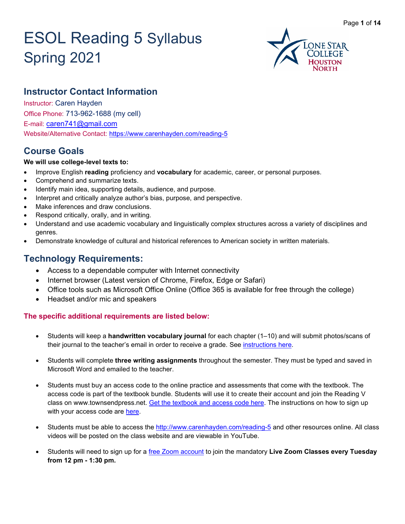# ESOL Reading 5 Syllabus Spring 2021



# **Instructor Contact Information**

Instructor: Caren Hayden Office Phone: 713-962-1688 (my cell) E-mail: [caren741@gmail.com](mailto:caren741@gmail.com) Website/Alternative Contact: <https://www.carenhayden.com/reading-5>

# **Course Goals**

### **We will use college-level texts to:**

- Improve English **reading** proficiency and **vocabulary** for academic, career, or personal purposes.
- Comprehend and summarize texts.
- Identify main idea, supporting details, audience, and purpose.
- Interpret and critically analyze author's bias, purpose, and perspective.
- Make inferences and draw conclusions.
- Respond critically, orally, and in writing.
- Understand and use academic vocabulary and linguistically complex structures across a variety of disciplines and genres.
- Demonstrate knowledge of cultural and historical references to American society in written materials.

# **Technology Requirements:**

- Access to a dependable computer with Internet connectivity
- Internet browser (Latest version of Chrome, Firefox, Edge or Safari)
- Office tools such as Microsoft Office Online (Office 365 is available for free through the college)
- Headset and/or mic and speakers

### **The specific additional requirements are listed below:**

- Students will keep a **handwritten vocabulary journal** for each chapter (1–10) and will submit photos/scans of their journal to the teacher's email in order to receive a grade. See [instructions here.](https://ed0e94c6-2b8b-4bba-b991-c304d67f7fb5.filesusr.com/ugd/7f1504_d06fae48fe4d4f9e8297b659dd2d1b51.pdf)
- Students will complete **three writing assignments** throughout the semester. They must be typed and saved in Microsoft Word and emailed to the teacher.
- Students must buy an access code to the online practice and assessments that come with the textbook. The access code is part of the textbook bundle. Students will use it to create their account and join the Reading V class on www.townsendpress.net. [Get the textbook and access code here.](https://www.carenhayden.com/reading-5-textbook-info) The instructions on how to sign up with your access code are [here.](https://ed0e94c6-2b8b-4bba-b991-c304d67f7fb5.filesusr.com/ugd/7f1504_1f5171d6f3d542deb1235812c45da4c9.pdf)
- Students must be able to access the<http://www.carenhayden.com/reading-5> and other resources online. All class videos will be posted on the class website and are viewable in YouTube.
- Students will need to sign up for a [free Zoom account](https://zoom.us/signup) to join the mandatory **Live Zoom Classes every Tuesday from 12 pm - 1:30 pm.**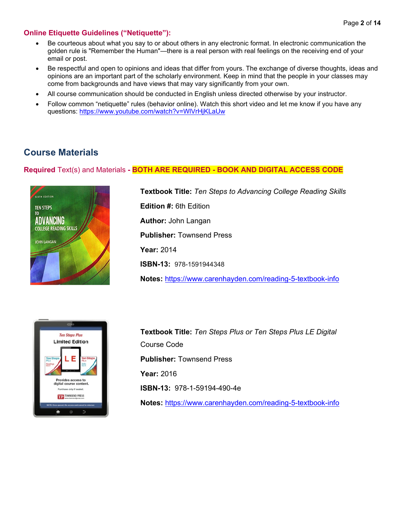### **Online Etiquette Guidelines ("Netiquette"):**

- Be courteous about what you say to or about others in any electronic format. In electronic communication the golden rule is "Remember the Human"—there is a real person with real feelings on the receiving end of your email or post.
- Be respectful and open to opinions and ideas that differ from yours. The exchange of diverse thoughts, ideas and opinions are an important part of the scholarly environment. Keep in mind that the people in your classes may come from backgrounds and have views that may vary significantly from your own.
- All course communication should be conducted in English unless directed otherwise by your instructor.
- Follow common "netiquette" rules (behavior online). Watch this short video and let me know if you have any questions:<https://www.youtube.com/watch?v=WlVrHjKLaUw>

# **Course Materials**

### **Required** Text(s) and Materials **- BOTH ARE REQUIRED - BOOK AND DIGITAL ACCESS CODE**



**Textbook Title:** *Ten Steps to Advancing College Reading Skills* **Edition #:** 6th Edition **Author:** John Langan **Publisher:** Townsend Press **Year:** 2014 **ISBN-13:** 978-1591944348 **Notes:** <https://www.carenhayden.com/reading-5-textbook-info>



**Textbook Title:** *Ten Steps Plus or Ten Steps Plus LE Digital* Course Code **Publisher:** Townsend Press **Year:** 2016 **ISBN-13:** 978-1-59194-490-4e **Notes:** <https://www.carenhayden.com/reading-5-textbook-info>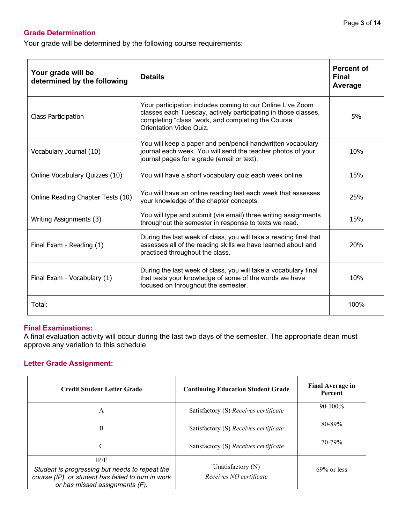### **Grade Determination**

Your grade will be determined by the following course requirements:

| Your grade will be<br>determined by the following | <b>Details</b>                                                                                                                                                                                                       | <b>Percent of</b><br><b>Final</b><br>Average |
|---------------------------------------------------|----------------------------------------------------------------------------------------------------------------------------------------------------------------------------------------------------------------------|----------------------------------------------|
| <b>Class Participation</b>                        | Your participation includes coming to our Online Live Zoom<br>classes each Tuesday, actively participating in those classes,<br>completing "class" work, and completing the Course<br><b>Orientation Video Quiz.</b> | 5%                                           |
| Vocabulary Journal (10)                           | You will keep a paper and pen/pencil handwritten vocabulary<br>journal each week. You will send the teacher photos of your<br>journal pages for a grade (email or text).                                             | 10%                                          |
| Online Vocabulary Quizzes (10)                    | You will have a short vocabulary quiz each week online.                                                                                                                                                              | 15%                                          |
| Online Reading Chapter Tests (10)                 | You will have an online reading test each week that assesses<br>your knowledge of the chapter concepts.                                                                                                              | 25%                                          |
| Writing Assignments (3)                           | You will type and submit (via email) three writing assignments<br>throughout the semester in response to texts we read.                                                                                              | 15%                                          |
| Final Exam - Reading (1)                          | During the last week of class, you will take a reading final that<br>assesses all of the reading skills we have learned about and<br>practiced throughout the class.                                                 | 20%                                          |
| Final Exam - Vocabulary (1)                       | During the last week of class, you will take a vocabulary final<br>that tests your knowledge of some of the words we have<br>focused on throughout the semester.                                                     | 10%                                          |
| Total:                                            |                                                                                                                                                                                                                      | 100%                                         |

### **Final Examinations:**

A final evaluation activity will occur during the last two days of the semester. The appropriate dean must approve any variation to this schedule.

### **Letter Grade Assignment:**

| <b>Credit Student Letter Grade</b>                                                                                                             | <b>Continuing Education Student Grade</b>    | <b>Final Average in</b><br>Percent |
|------------------------------------------------------------------------------------------------------------------------------------------------|----------------------------------------------|------------------------------------|
| A                                                                                                                                              | Satisfactory (S) Receives certificate        | $90-100\%$                         |
| B                                                                                                                                              | Satisfactory (S) Receives certificate        | 80-89%                             |
| C                                                                                                                                              | Satisfactory (S) Receives certificate        | 70-79%                             |
| IP/F<br>Student is progressing but needs to repeat the<br>course (IP), or student has failed to turn in work<br>or has missed assignments (F). | Unatisfactory (N)<br>Receives NO certificate | $69\%$ or less                     |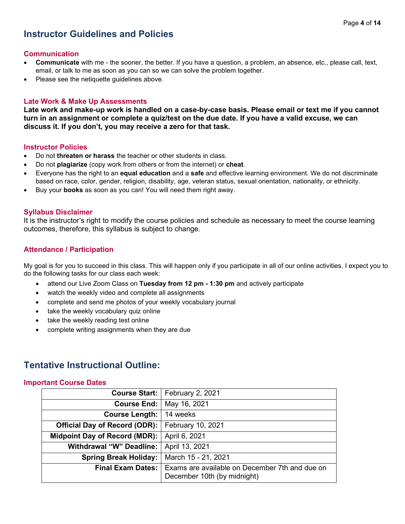# **Instructor Guidelines and Policies**

### **Communication**

- **Communicate** with me the sooner, the better. If you have a question, a problem, an absence, etc., please call, text, email, or talk to me as soon as you can so we can solve the problem together.
- Please see the netiquette guidelines above.

### **Late Work & Make Up Assessments**

**Late work and make-up work is handled on a case-by-case basis. Please email or text me if you cannot turn in an assignment or complete a quiz/test on the due date. If you have a valid excuse, we can discuss it. If you don't, you may receive a zero for that task.**

### **Instructor Policies**

- Do not **threaten or harass** the teacher or other students in class.
- Do not **plagiarize** (copy work from others or from the internet) or **cheat**.
- Everyone has the right to an **equal education** and a **safe** and effective learning environment. We do not discriminate based on race, color, gender, religion, disability, age, veteran status, sexual orientation, nationality, or ethnicity.
- Buy your **books** as soon as you can! You will need them right away.

### **Syllabus Disclaimer**

It is the instructor's right to modify the course policies and schedule as necessary to meet the course learning outcomes, therefore, this syllabus is subject to change.

### **Attendance / Participation**

My goal is for you to succeed in this class. This will happen only if you participate in all of our online activities. I expect you to do the following tasks for our class each week:

- attend our Live Zoom Class on **Tuesday from 12 pm - 1:30 pm** and actively participate
- watch the weekly video and complete all assignments
- complete and send me photos of your weekly vocabulary journal
- take the weekly vocabulary quiz online
- take the weekly reading test online
- complete writing assignments when they are due

### **Tentative Instructional Outline:**

#### **Important Course Dates**

|                                      | Course Start:   February 2, 2021                                              |
|--------------------------------------|-------------------------------------------------------------------------------|
| <b>Course End:</b>                   | May 16, 2021                                                                  |
| <b>Course Length:</b>                | 14 weeks                                                                      |
| <b>Official Day of Record (ODR):</b> | February 10, 2021                                                             |
| Midpoint Day of Record (MDR):        | April 6, 2021                                                                 |
| <b>Withdrawal "W" Deadline:</b>      | April 13, 2021                                                                |
| <b>Spring Break Holiday:</b>         | March 15 - 21, 2021                                                           |
| <b>Final Exam Dates:</b>             | Exams are available on December 7th and due on<br>December 10th (by midnight) |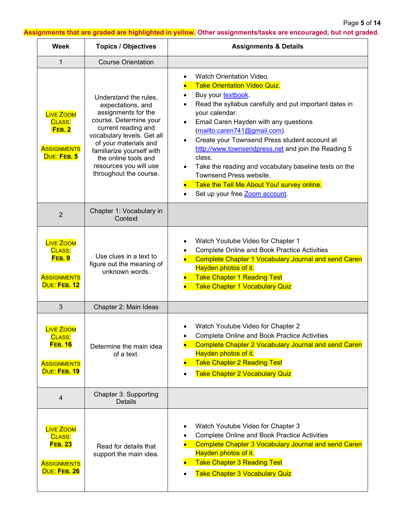Page **5** of **14**

**Assignments that are graded are highlighted in yellow. Other assignments/tasks are encouraged, but not graded.**

| <b>Week</b>                                                                               | <b>Topics / Objectives</b>                                                                                                                                                                                                                                                         | <b>Assignments &amp; Details</b>                                                                                                                                                                                                                                                                                                                                                                                                                                                                                                                                                                               |
|-------------------------------------------------------------------------------------------|------------------------------------------------------------------------------------------------------------------------------------------------------------------------------------------------------------------------------------------------------------------------------------|----------------------------------------------------------------------------------------------------------------------------------------------------------------------------------------------------------------------------------------------------------------------------------------------------------------------------------------------------------------------------------------------------------------------------------------------------------------------------------------------------------------------------------------------------------------------------------------------------------------|
| 1                                                                                         | <b>Course Orientation</b>                                                                                                                                                                                                                                                          |                                                                                                                                                                                                                                                                                                                                                                                                                                                                                                                                                                                                                |
| <b>LIVE ZOOM</b><br>CLASS:<br><b>FEB. 2</b><br><b>ASSIGNMENTS</b><br>DUE: FEB. 5          | Understand the rules,<br>expectations, and<br>assignments for the<br>course. Determine your<br>current reading and<br>vocabulary levels. Get all<br>of your materials and<br>familiarize yourself with<br>the online tools and<br>resources you will use<br>throughout the course. | Watch Orientation Video.<br><b>Take Orientation Video Quiz.</b><br>Buy your textbook.<br>$\bullet$<br>Read the syllabus carefully and put important dates in<br>$\bullet$<br>your calendar.<br>Email Caren Hayden with any questions<br>$\bullet$<br>(mailto:caren741@gmail.com).<br>Create your Townsend Press student account at<br>$\bullet$<br>http://www.townsendpress.net and join the Reading 5<br>class.<br>Take the reading and vocabulary baseline tests on the<br>$\bullet$<br>Townsend Press website.<br>Take the Tell Me About You! survey online.<br>Set up your free Zoom account.<br>$\bullet$ |
| $\overline{2}$                                                                            | Chapter 1: Vocabulary in<br>Context                                                                                                                                                                                                                                                |                                                                                                                                                                                                                                                                                                                                                                                                                                                                                                                                                                                                                |
| <b>LIVE ZOOM</b><br>CLASS:<br><b>FEB. 9</b><br><b>ASSIGNMENTS</b><br>DUE: FEB. 12         | Use clues in a text to<br>figure out the meaning of<br>unknown words.                                                                                                                                                                                                              | Watch Youtube Video for Chapter 1<br>$\bullet$<br><b>Complete Online and Book Practice Activities</b><br>٠<br><b>Complete Chapter 1 Vocabulary Journal and send Caren</b><br>Hayden photos of it.<br><b>Take Chapter 1 Reading Test</b><br><b>Take Chapter 1 Vocabulary Quiz</b>                                                                                                                                                                                                                                                                                                                               |
| 3                                                                                         | Chapter 2: Main Ideas                                                                                                                                                                                                                                                              |                                                                                                                                                                                                                                                                                                                                                                                                                                                                                                                                                                                                                |
| <b>LIVE ZOOM</b><br><b>CLASS:</b><br><b>FEB. 16</b><br><b>ASSIGNMENTS</b><br>DUE: FEB. 19 | Determine the main idea<br>of a text.                                                                                                                                                                                                                                              | Watch Youtube Video for Chapter 2<br><b>Complete Online and Book Practice Activities</b><br><b>Complete Chapter 2 Vocabulary Journal and send Caren</b><br>Hayden photos of it.<br><b>Take Chapter 2 Reading Test</b><br><b>Take Chapter 2 Vocabulary Quiz</b><br>$\bullet$                                                                                                                                                                                                                                                                                                                                    |
| 4                                                                                         | Chapter 3: Supporting<br><b>Details</b>                                                                                                                                                                                                                                            |                                                                                                                                                                                                                                                                                                                                                                                                                                                                                                                                                                                                                |
| <b>LIVE ZOOM</b><br>CLASS:<br><b>FEB. 23</b><br><b>ASSIGNMENTS</b><br>DUE: FEB. 26        | Read for details that<br>support the main idea.                                                                                                                                                                                                                                    | Watch Youtube Video for Chapter 3<br>$\bullet$<br><b>Complete Online and Book Practice Activities</b><br><b>Complete Chapter 3 Vocabulary Journal and send Caren</b><br>Hayden photos of it.<br><b>Take Chapter 3 Reading Test</b><br><b>Take Chapter 3 Vocabulary Quiz</b>                                                                                                                                                                                                                                                                                                                                    |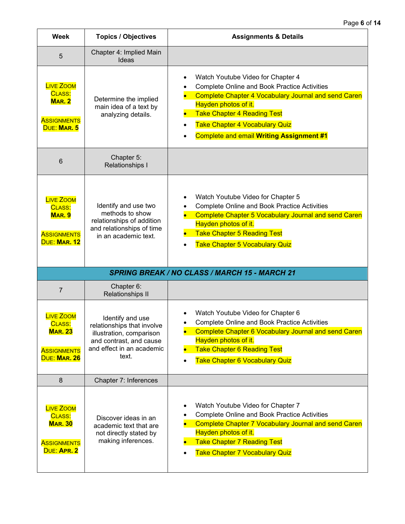| <b>Week</b>                                                                              | <b>Topics / Objectives</b>                                                                                                                  | <b>Assignments &amp; Details</b>                                                                                                                                                                                                                                                                                                                         |
|------------------------------------------------------------------------------------------|---------------------------------------------------------------------------------------------------------------------------------------------|----------------------------------------------------------------------------------------------------------------------------------------------------------------------------------------------------------------------------------------------------------------------------------------------------------------------------------------------------------|
| 5                                                                                        | Chapter 4: Implied Main<br>Ideas                                                                                                            |                                                                                                                                                                                                                                                                                                                                                          |
| <b>LIVE ZOOM</b><br>CLASS:<br><b>MAR. 2</b><br><b>ASSIGNMENTS</b><br>DUE: MAR. 5         | Determine the implied<br>main idea of a text by<br>analyzing details.                                                                       | Watch Youtube Video for Chapter 4<br>$\bullet$<br><b>Complete Online and Book Practice Activities</b><br>$\bullet$<br><b>Complete Chapter 4 Vocabulary Journal and send Caren</b><br>Hayden photos of it.<br><b>Take Chapter 4 Reading Test</b><br><b>Take Chapter 4 Vocabulary Quiz</b><br>$\bullet$<br><b>Complete and email Writing Assignment #1</b> |
| 6                                                                                        | Chapter 5:<br>Relationships I                                                                                                               |                                                                                                                                                                                                                                                                                                                                                          |
| <b>LIVE ZOOM</b><br>CLASS:<br><b>MAR. 9</b><br><b>ASSIGNMENTS</b><br>DUE: MAR. 12        | Identify and use two<br>methods to show<br>relationships of addition<br>and relationships of time<br>in an academic text.                   | Watch Youtube Video for Chapter 5<br>$\bullet$<br><b>Complete Online and Book Practice Activities</b><br><b>Complete Chapter 5 Vocabulary Journal and send Caren</b><br>Hayden photos of it.<br><b>Take Chapter 5 Reading Test</b><br><b>Take Chapter 5 Vocabulary Quiz</b>                                                                              |
|                                                                                          |                                                                                                                                             | <b>SPRING BREAK / NO CLASS / MARCH 15 - MARCH 21</b>                                                                                                                                                                                                                                                                                                     |
| $\overline{7}$                                                                           | Chapter 6:<br>Relationships II                                                                                                              |                                                                                                                                                                                                                                                                                                                                                          |
| <b>LIVE ZOOM</b><br>CLASS:<br><b>MAR. 23</b><br><b>ASSIGNMENTS</b><br>DUE: MAR. 26       | Identify and use<br>relationships that involve<br>illustration, comparison<br>and contrast, and cause<br>and effect in an academic<br>text. | Watch Youtube Video for Chapter 6<br><b>Complete Online and Book Practice Activities</b><br>Complete Chapter 6 Vocabulary Journal and send Caren<br>Hayden photos of it.<br><b>Take Chapter 6 Reading Test</b><br><b>Take Chapter 6 Vocabulary Quiz</b><br>$\bullet$                                                                                     |
| 8                                                                                        | Chapter 7: Inferences                                                                                                                       |                                                                                                                                                                                                                                                                                                                                                          |
| <b>LIVE ZOOM</b><br><b>CLASS:</b><br><b>MAR. 30</b><br><b>ASSIGNMENTS</b><br>DUE: APR. 2 | Discover ideas in an<br>academic text that are<br>not directly stated by<br>making inferences.                                              | Watch Youtube Video for Chapter 7<br>٠<br><b>Complete Online and Book Practice Activities</b><br><b>Complete Chapter 7 Vocabulary Journal and send Caren</b><br>Hayden photos of it.<br><b>Take Chapter 7 Reading Test</b><br><b>Take Chapter 7 Vocabulary Quiz</b>                                                                                      |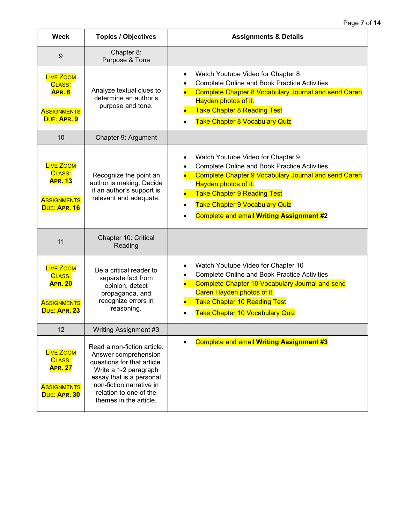| Week                                                                               | <b>Topics / Objectives</b>                                                                                                                                                                                              | <b>Assignments &amp; Details</b>                                                                                                                                                                                                                                                                                               |
|------------------------------------------------------------------------------------|-------------------------------------------------------------------------------------------------------------------------------------------------------------------------------------------------------------------------|--------------------------------------------------------------------------------------------------------------------------------------------------------------------------------------------------------------------------------------------------------------------------------------------------------------------------------|
| 9                                                                                  | Chapter 8:<br>Purpose & Tone                                                                                                                                                                                            |                                                                                                                                                                                                                                                                                                                                |
| <b>LIVE ZOOM</b><br>CLASS:<br><b>APR. 6</b><br><b>ASSIGNMENTS</b><br>DUE: APR. 9   | Analyze textual clues to<br>determine an author's<br>purpose and tone.                                                                                                                                                  | Watch Youtube Video for Chapter 8<br>$\bullet$<br><b>Complete Online and Book Practice Activities</b><br>$\bullet$<br><b>Complete Chapter 8 Vocabulary Journal and send Caren</b><br>Hayden photos of it.<br><b>Take Chapter 8 Reading Test</b><br><b>Take Chapter 8 Vocabulary Quiz</b>                                       |
| 10                                                                                 | Chapter 9: Argument                                                                                                                                                                                                     |                                                                                                                                                                                                                                                                                                                                |
| <b>LIVE ZOOM</b><br>CLASS:<br><b>APR. 13</b><br><b>ASSIGNMENTS</b><br>DUE: APR. 16 | Recognize the point an<br>author is making. Decide<br>if an author's support is<br>relevant and adequate.                                                                                                               | Watch Youtube Video for Chapter 9<br>$\bullet$<br><b>Complete Online and Book Practice Activities</b><br><b>Complete Chapter 9 Vocabulary Journal and send Caren</b><br>Hayden photos of it.<br><b>Take Chapter 9 Reading Test</b><br><b>Take Chapter 9 Vocabulary Quiz</b><br><b>Complete and email Writing Assignment #2</b> |
| 11                                                                                 | Chapter 10: Critical<br>Reading                                                                                                                                                                                         |                                                                                                                                                                                                                                                                                                                                |
| <b>LIVE ZOOM</b><br>CLASS:<br><b>APR. 20</b><br><b>ASSIGNMENTS</b><br>DUE: APR. 23 | Be a critical reader to<br>separate fact from<br>opinion, detect<br>propaganda, and<br>recognize errors in<br>reasoning.                                                                                                | Watch Youtube Video for Chapter 10<br>$\bullet$<br><b>Complete Online and Book Practice Activities</b><br>$\bullet$<br>Complete Chapter 10 Vocabulary Journal and send<br>Caren Hayden photos of it.<br><b>Take Chapter 10 Reading Test</b><br>$\bullet$<br><b>Take Chapter 10 Vocabulary Quiz</b>                             |
| 12                                                                                 | Writing Assignment #3                                                                                                                                                                                                   |                                                                                                                                                                                                                                                                                                                                |
| <b>LIVE ZOOM</b><br>CLASS:<br><b>APR. 27</b><br><b>ASSIGNMENTS</b><br>DUE: APR. 30 | Read a non-fiction article.<br>Answer comprehension<br>questions for that article.<br>Write a 1-2 paragraph<br>essay that is a personal<br>non-fiction narrative in<br>relation to one of the<br>themes in the article. | <b>Complete and email Writing Assignment #3</b><br>$\bullet$                                                                                                                                                                                                                                                                   |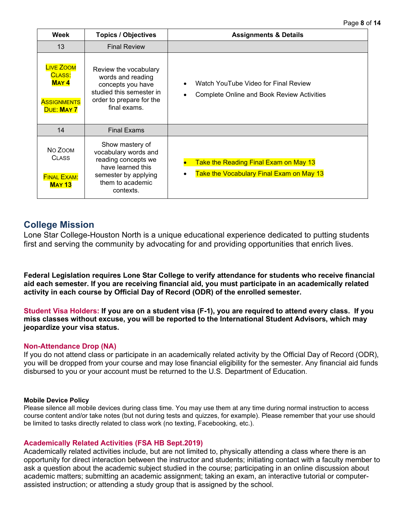| Week                                                                          | <b>Topics / Objectives</b>                                                                                                                   | <b>Assignments &amp; Details</b>                                                                       |
|-------------------------------------------------------------------------------|----------------------------------------------------------------------------------------------------------------------------------------------|--------------------------------------------------------------------------------------------------------|
| 13                                                                            | <b>Final Review</b>                                                                                                                          |                                                                                                        |
| <b>LIVE ZOOM</b><br>CLASS:<br><b>MAY4</b><br><b>ASSIGNMENTS</b><br>DUE: MAY 7 | Review the vocabulary<br>words and reading<br>concepts you have<br>studied this semester in<br>order to prepare for the<br>final exams.      | Watch YouTube Video for Final Review<br>$\bullet$<br><b>Complete Online and Book Review Activities</b> |
| 14                                                                            | <b>Final Exams</b>                                                                                                                           |                                                                                                        |
| NO ZOOM<br><b>CLASS</b><br><b>FINAL EXAM:</b><br><b>MAY 13</b>                | Show mastery of<br>vocabulary words and<br>reading concepts we<br>have learned this<br>semester by applying<br>them to academic<br>contexts. | Take the Reading Final Exam on May 13<br>Take the Vocabulary Final Exam on May 13<br>$\bullet$         |

### **College Mission**

Lone Star College-Houston North is a unique educational experience dedicated to putting students first and serving the community by advocating for and providing opportunities that enrich lives.

**Federal Legislation requires Lone Star College to verify attendance for students who receive financial aid each semester. If you are receiving financial aid, you must participate in an academically related activity in each course by Official Day of Record (ODR) of the enrolled semester.** 

**Student Visa Holders: If you are on a student visa (F-1), you are required to attend every class. If you miss classes without excuse, you will be reported to the International Student Advisors, which may jeopardize your visa status.** 

### **Non-Attendance Drop (NA)**

If you do not attend class or participate in an academically related activity by the Official Day of Record (ODR), you will be dropped from your course and may lose financial eligibility for the semester. Any financial aid funds disbursed to you or your account must be returned to the U.S. Department of Education.

### **Mobile Device Policy**

Please silence all mobile devices during class time. You may use them at any time during normal instruction to access course content and/or take notes (but not during tests and quizzes, for example). Please remember that your use should be limited to tasks directly related to class work (no texting, Facebooking, etc.).

### **Academically Related Activities (FSA HB Sept.2019)**

Academically related activities include, but are not limited to, physically attending a class where there is an opportunity for direct interaction between the instructor and students; initiating contact with a faculty member to ask a question about the academic subject studied in the course; participating in an online discussion about academic matters; submitting an academic assignment; taking an exam, an interactive tutorial or computerassisted instruction; or attending a study group that is assigned by the school.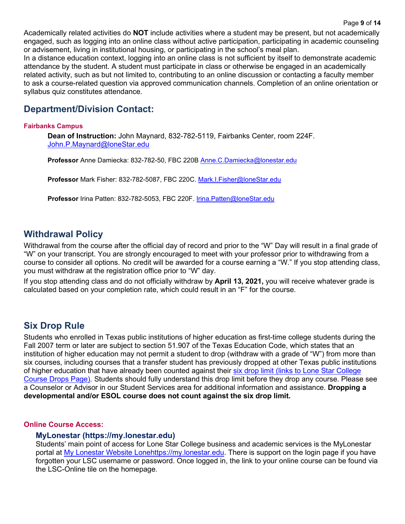Academically related activities do **NOT** include activities where a student may be present, but not academically engaged, such as logging into an online class without active participation, participating in academic counseling or advisement, living in institutional housing, or participating in the school's meal plan.

In a distance education context, logging into an online class is not sufficient by itself to demonstrate academic attendance by the student. A student must participate in class or otherwise be engaged in an academically related activity, such as but not limited to, contributing to an online discussion or contacting a faculty member to ask a course-related question via approved communication channels. Completion of an online orientation or syllabus quiz constitutes attendance.

# **Department/Division Contact:**

### **Fairbanks Campus**

**Dean of Instruction:** John Maynard, 832-782-5119, Fairbanks Center, room 224F. [John.P.Maynard@loneStar.edu](mailto:John.P.Maynard@loneStar.edu)

**Professor** Anne Damiecka: 832-782-50, FBC 220B [Anne.C.Damiecka@lonestar.edu](mailto:Anne.C.Damiecka@lonestar.edu)

**Professor** Mark Fisher: 832-782-5087, FBC 220C. [Mark.I.Fisher@loneStar.edu](mailto:Mark.I.Fisher@loneStar.edu)

**Professor** Irina Patten: 832-782-5053, FBC 220F. [Irina.Patten@loneStar.edu](mailto:Irina.Patten@loneStar.edu)

### **Withdrawal Policy**

Withdrawal from the course after the official day of record and prior to the "W" Day will result in a final grade of "W" on your transcript. You are strongly encouraged to meet with your professor prior to withdrawing from a course to consider all options. No credit will be awarded for a course earning a "W." If you stop attending class, you must withdraw at the registration office prior to "W" day.

If you stop attending class and do not officially withdraw by **April 13, 2021,** you will receive whatever grade is calculated based on your completion rate, which could result in an "F" for the course.

### **Six Drop Rule**

Students who enrolled in Texas public institutions of higher education as first-time college students during the Fall 2007 term or later are subject to section 51.907 of the Texas Education Code, which states that an institution of higher education may not permit a student to drop (withdraw with a grade of "W") from more than six courses, including courses that a transfer student has previously dropped at other Texas public institutions of higher education that have already been counted against their six drop limit (links to Lone Star College [Course Drops Page\).](http://www.lonestar.edu/course-drops.htm) Students should fully understand this drop limit before they drop any course. Please see a Counselor or Advisor in our Student Services area for additional information and assistance. **Dropping a developmental and/or ESOL course does not count against the six drop limit.**

### **Online Course Access:**

### **MyLonestar [\(https://my.lonestar.edu\)](https://my.lonestar.edu/)**

Students' main point of access for Lone Star College business and academic services is the MyLonestar portal at [My Lonestar Website Lonehttps://my.lonestar.edu.](https://my.lonestar.edu/) There is support on the login page if you have forgotten your LSC username or password. Once logged in, the link to your online course can be found via the LSC-Online tile on the homepage.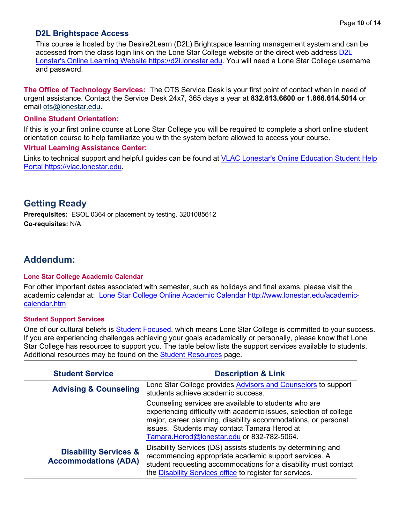### **D2L Brightspace Access**

This course is hosted by the Desire2Learn (D2L) Brightspace learning management system and can be accessed from the class login link on the Lone Star College website or the direct web address [D2L](https://d2l.lonestar.edu/)  [Lonstar's Online Learning Website https://d2l.lonestar.edu.](https://d2l.lonestar.edu/) You will need a Lone Star College username and password.

**The Office of Technology Services:** The OTS Service Desk is your first point of contact when in need of urgent assistance. Contact the Service Desk 24x7, 365 days a year at **832.813.6600 or 1.866.614.5014** or email [ots@lonestar.edu.](mailto:ots@lonestar.edu)

### **Online Student Orientation:**

If this is your first online course at Lone Star College you will be required to complete a short online student orientation course to help familiarize you with the system before allowed to access your course.

### **Virtual Learning Assistance Center:**

Links to technical support and helpful guides can be found at [VLAC Lonestar's Online Education Student Help](https://vlac.lonestar.edu/)  [Portal https://vlac.lonestar.edu.](https://vlac.lonestar.edu/)

### **Getting Ready**

**Prerequisites:** ESOL 0364 or placement by testing. 3201085612 **Co-requisites:** N/A

# **Addendum:**

### **Lone Star College Academic Calendar**

For other important dates associated with semester, such as holidays and final exams, please visit the academic calendar at: [Lone Star College Online Academic Calendar http://www.lonestar.edu/academic](http://www.lonestar.edu/academic-calendar.htm)[calendar.htm](http://www.lonestar.edu/academic-calendar.htm)

### **Student Support Services**

One of our cultural beliefs is [Student Focused,](http://www.lonestar.edu/LSCFocus.htm) which means Lone Star College is committed to your success. If you are experiencing challenges achieving your goals academically or personally, please know that Lone Star College has resources to support you. The table below lists the support services available to students. Additional resources may be found on the [Student Resources](https://www.lonestar.edu/Student-Resources.htm) page.

| <b>Student Service</b>                                          | <b>Description &amp; Link</b>                                                                                                                                                                                                                                                               |
|-----------------------------------------------------------------|---------------------------------------------------------------------------------------------------------------------------------------------------------------------------------------------------------------------------------------------------------------------------------------------|
| <b>Advising &amp; Counseling</b>                                | Lone Star College provides Advisors and Counselors to support<br>students achieve academic success.                                                                                                                                                                                         |
|                                                                 | Counseling services are available to students who are<br>experiencing difficulty with academic issues, selection of college<br>major, career planning, disability accommodations, or personal<br>issues. Students may contact Tamara Herod at<br>Tamara.Herod@lonestar.edu or 832-782-5064. |
| <b>Disability Services &amp;</b><br><b>Accommodations (ADA)</b> | Disability Services (DS) assists students by determining and<br>recommending appropriate academic support services. A<br>student requesting accommodations for a disability must contact<br>the Disability Services office to register for services.                                        |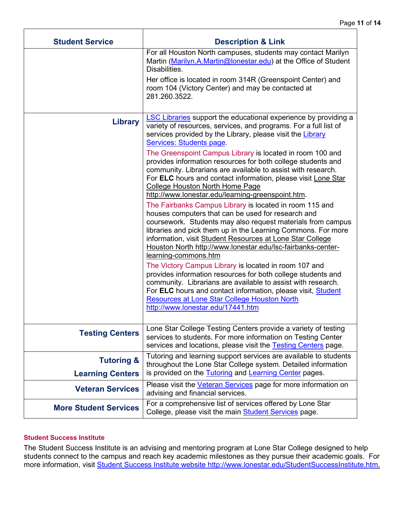| <b>Student Service</b>       | <b>Description &amp; Link</b>                                                                                                                                                                                                                                                                                                                                                                    |
|------------------------------|--------------------------------------------------------------------------------------------------------------------------------------------------------------------------------------------------------------------------------------------------------------------------------------------------------------------------------------------------------------------------------------------------|
|                              | For all Houston North campuses, students may contact Marilyn<br>Martin (Marilyn.A.Martin@lonestar.edu) at the Office of Student<br>Disabilities.                                                                                                                                                                                                                                                 |
|                              | Her office is located in room 314R (Greenspoint Center) and<br>room 104 (Victory Center) and may be contacted at<br>281.260.3522.                                                                                                                                                                                                                                                                |
| <b>Library</b>               | <b>LSC Libraries</b> support the educational experience by providing a<br>variety of resources, services, and programs. For a full list of<br>services provided by the Library, please visit the Library<br>Services: Students page.                                                                                                                                                             |
|                              | The Greenspoint Campus Library is located in room 100 and<br>provides information resources for both college students and<br>community. Librarians are available to assist with research.<br>For ELC hours and contact information, please visit Lone Star<br><b>College Houston North Home Page</b><br>http://www.lonestar.edu/learning-greenspoint.htm.                                        |
|                              | The Fairbanks Campus Library is located in room 115 and<br>houses computers that can be used for research and<br>coursework. Students may also request materials from campus<br>libraries and pick them up in the Learning Commons. For more<br>information, visit Student Resources at Lone Star College<br>Houston North http://www.lonestar.edu/lsc-fairbanks-center-<br>learning-commons.htm |
|                              | The Victory Campus Library is located in room 107 and<br>provides information resources for both college students and<br>community. Librarians are available to assist with research.<br>For ELC hours and contact information, please visit, Student<br><b>Resources at Lone Star College Houston North</b><br>http://www.lonestar.edu/17441.htm                                                |
| Testing Centers              | one Star College Testing Centers provide a variety of testing<br>services to students. For more information on Testing Center<br>services and locations, please visit the Testing Centers page.                                                                                                                                                                                                  |
| <b>Tutoring &amp;</b>        | Tutoring and learning support services are available to students<br>throughout the Lone Star College system. Detailed information                                                                                                                                                                                                                                                                |
| <b>Learning Centers</b>      | is provided on the Tutoring and Learning Center pages.                                                                                                                                                                                                                                                                                                                                           |
| <b>Veteran Services</b>      | Please visit the <b>Veteran Services</b> page for more information on<br>advising and financial services.                                                                                                                                                                                                                                                                                        |
| <b>More Student Services</b> | For a comprehensive list of services offered by Lone Star<br>College, please visit the main <b>Student Services</b> page.                                                                                                                                                                                                                                                                        |

Τ

### **Student Success Institute**

The Student Success Institute is an advising and mentoring program at Lone Star College designed to help students connect to the campus and reach key academic milestones as they pursue their academic goals. For more information, visit <u>Student Success Institute website http://www.lonestar.edu/StudentSuccessInstitute.htm.</u>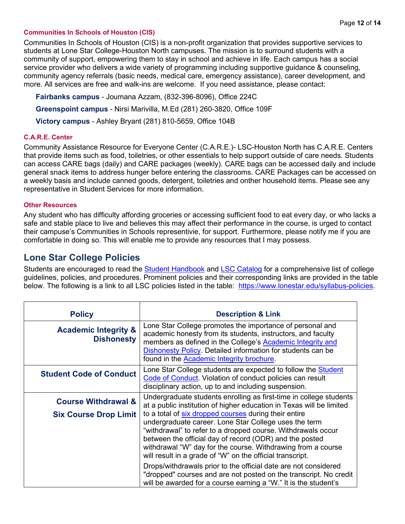### **Communities In Schools of Houston (CIS)**

Communities In Schools of Houston (CIS) is a non-profit organization that provides supportive services to students at Lone Star College-Houston North campuses. The mission is to surround students with a community of support, empowering them to stay in school and achieve in life. Each campus has a social service provider who delivers a wide variety of programming including supportive guidance & counseling, community agency referrals (basic needs, medical care, emergency assistance), career development, and more. All services are free and walk-ins are welcome. If you need assistance, please contact:

**Fairbanks campus** - Joumana Azzam, (832-396-8096), Office 224C **Greenspoint campus** - Nirsi Marivilla, M.Ed (281) 260-3820, Office 109F **Victory campus** - Ashley Bryant (281) 810-5659, Office 104B

### **C.A.R.E. Center**

Community Assistance Resource for Everyone Center (C.A.R.E.)- LSC-Houston North has C.A.R.E. Centers that provide items such as food, toiletries, or other essentials to help support outside of care needs. Students can access CARE bags (daily) and CARE packages (weekly). CARE bags can be accessed daily and include general snack items to address hunger before entering the classrooms. CARE Packages can be accessed on a weekly basis and include canned goods, detergent, toiletries and onther household items. Please see any representative in Student Services for more information.

#### **Other Resources**

Any student who has difficulty affording groceries or accessing sufficient food to eat every day, or who lacks a safe and stable place to live and believes this may affect their performance in the course, is urged to contact their campuse's Communities in Schools representivie, for support. Furthermore, please notify me if you are comfortable in doing so. This will enable me to provide any resources that I may possess.

### **Lone Star College Policies**

Students are encouraged to read the [Student Handbook](https://www.lonestar.edu/Student-Handbook.htm) and [LSC Catalog](http://www.lonestar.edu/lscs-catalog.htm) for a comprehensive list of college guidelines, policies, and procedures. Prominent policies and their corresponding links are provided in the table below. The following is a link to all LSC policies listed in the table: [https://www.lonestar.edu/syllabus-policies.](https://www.lonestar.edu/syllabus-policies)

| <b>Policy</b>                                        | <b>Description &amp; Link</b>                                                                                                                                                                                                                                                                                                                                          |
|------------------------------------------------------|------------------------------------------------------------------------------------------------------------------------------------------------------------------------------------------------------------------------------------------------------------------------------------------------------------------------------------------------------------------------|
| <b>Academic Integrity &amp;</b><br><b>Dishonesty</b> | Lone Star College promotes the importance of personal and<br>academic honesty from its students, instructors, and faculty<br>members as defined in the College's Academic Integrity and<br>Dishonesty Policy. Detailed information for students can be<br>found in the Academic Integrity brochure.                                                                    |
| <b>Student Code of Conduct</b>                       | Lone Star College students are expected to follow the Student<br>Code of Conduct. Violation of conduct policies can result<br>disciplinary action, up to and including suspension.                                                                                                                                                                                     |
| <b>Course Withdrawal &amp;</b>                       | Undergraduate students enrolling as first-time in college students<br>at a public institution of higher education in Texas will be limited                                                                                                                                                                                                                             |
| <b>Six Course Drop Limit</b>                         | to a total of six dropped courses during their entire<br>undergraduate career. Lone Star College uses the term<br>"withdrawal" to refer to a dropped course. Withdrawals occur<br>between the official day of record (ODR) and the posted<br>withdrawal "W" day for the course. Withdrawing from a course<br>will result in a grade of "W" on the official transcript. |
|                                                      | Drops/withdrawals prior to the official date are not considered<br>"dropped" courses and are not posted on the transcript. No credit<br>will be awarded for a course earning a "W." It is the student's                                                                                                                                                                |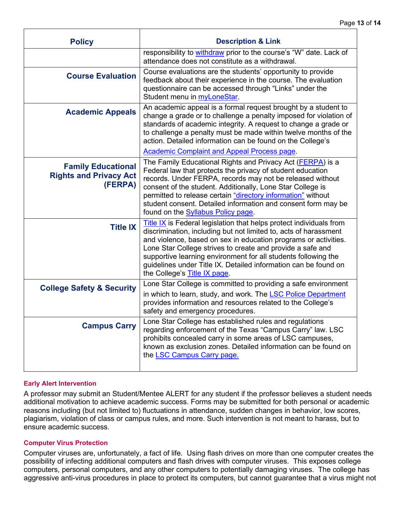| <b>Policy</b>                                                         | <b>Description &amp; Link</b>                                                                                                                                                                                                                                                                                                                                                                                                                 |
|-----------------------------------------------------------------------|-----------------------------------------------------------------------------------------------------------------------------------------------------------------------------------------------------------------------------------------------------------------------------------------------------------------------------------------------------------------------------------------------------------------------------------------------|
|                                                                       | responsibility to withdraw prior to the course's "W" date. Lack of<br>attendance does not constitute as a withdrawal.                                                                                                                                                                                                                                                                                                                         |
| <b>Course Evaluation</b>                                              | Course evaluations are the students' opportunity to provide<br>feedback about their experience in the course. The evaluation<br>questionnaire can be accessed through "Links" under the<br>Student menu in myLoneStar.                                                                                                                                                                                                                        |
| <b>Academic Appeals</b>                                               | An academic appeal is a formal request brought by a student to<br>change a grade or to challenge a penalty imposed for violation of<br>standards of academic integrity. A request to change a grade or<br>to challenge a penalty must be made within twelve months of the<br>action. Detailed information can be found on the College's<br><b>Academic Complaint and Appeal Process page.</b>                                                 |
| <b>Family Educational</b><br><b>Rights and Privacy Act</b><br>(FERPA) | The Family Educational Rights and Privacy Act (FERPA) is a<br>Federal law that protects the privacy of student education<br>records. Under FERPA, records may not be released without<br>consent of the student. Additionally, Lone Star College is<br>permitted to release certain "directory information" without<br>student consent. Detailed information and consent form may be<br>found on the <b>Syllabus Policy page</b> .            |
| <b>Title IX</b>                                                       | Title IX is Federal legislation that helps protect individuals from<br>discrimination, including but not limited to, acts of harassment<br>and violence, based on sex in education programs or activities.<br>Lone Star College strives to create and provide a safe and<br>supportive learning environment for all students following the<br>guidelines under Title IX. Detailed information can be found on<br>the College's Title IX page. |
| <b>College Safety &amp; Security</b>                                  | Lone Star College is committed to providing a safe environment<br>in which to learn, study, and work. The LSC Police Department<br>provides information and resources related to the College's<br>safety and emergency procedures.                                                                                                                                                                                                            |
| <b>Campus Carry</b>                                                   | Lone Star College has established rules and regulations<br>regarding enforcement of the Texas "Campus Carry" law. LSC<br>prohibits concealed carry in some areas of LSC campuses,<br>known as exclusion zones. Detailed information can be found on<br>the LSC Campus Carry page.                                                                                                                                                             |

### **Early Alert Intervention**

A professor may submit an Student/Mentee ALERT for any student if the professor believes a student needs additional motivation to achieve academic success. Forms may be submitted for both personal or academic reasons including (but not limited to) fluctuations in attendance, sudden changes in behavior, low scores, plagiarism, violation of class or campus rules, and more. Such intervention is not meant to harass, but to ensure academic success.

### **Computer Virus Protection**

Computer viruses are, unfortunately, a fact of life. Using flash drives on more than one computer creates the possibility of infecting additional computers and flash drives with computer viruses. This exposes college computers, personal computers, and any other computers to potentially damaging viruses. The college has aggressive anti-virus procedures in place to protect its computers, but cannot guarantee that a virus might not